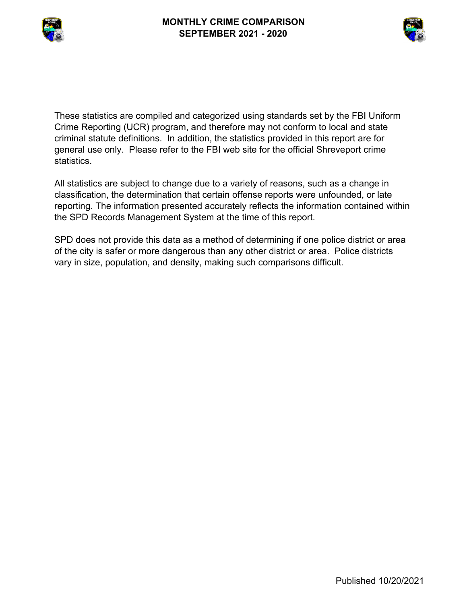



These statistics are compiled and categorized using standards set by the FBI Uniform Crime Reporting (UCR) program, and therefore may not conform to local and state criminal statute definitions. In addition, the statistics provided in this report are for general use only. Please refer to the FBI web site for the official Shreveport crime statistics.

All statistics are subject to change due to a variety of reasons, such as a change in classification, the determination that certain offense reports were unfounded, or late reporting. The information presented accurately reflects the information contained within the SPD Records Management System at the time of this report.

SPD does not provide this data as a method of determining if one police district or area of the city is safer or more dangerous than any other district or area. Police districts vary in size, population, and density, making such comparisons difficult.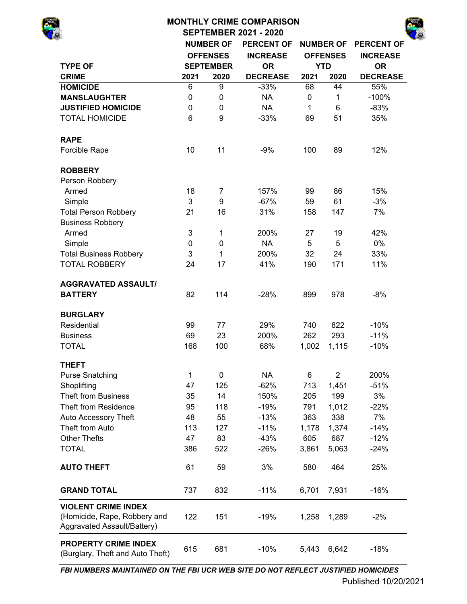# **MONTHLY CRIME COMPARISON**

**SEPTEMBER 2021 - 2020**



|                                                                                           |                           | <b>NUMBER OF</b> | <b>PERCENT OF</b> |              | <b>NUMBER OF</b> | <b>PERCENT OF</b> |
|-------------------------------------------------------------------------------------------|---------------------------|------------------|-------------------|--------------|------------------|-------------------|
|                                                                                           |                           | <b>OFFENSES</b>  | <b>INCREASE</b>   |              | <b>OFFENSES</b>  | <b>INCREASE</b>   |
| <b>TYPE OF</b>                                                                            |                           | <b>SEPTEMBER</b> | <b>OR</b>         |              | <b>YTD</b>       | <b>OR</b>         |
| <b>CRIME</b>                                                                              | 2021                      | 2020             | <b>DECREASE</b>   | 2021         | 2020             | <b>DECREASE</b>   |
| <b>HOMICIDE</b>                                                                           | 6                         | 9                | $-33%$            | 68           | 44               | 55%               |
| <b>MANSLAUGHTER</b>                                                                       | 0                         | 0                | <b>NA</b>         | 0            | 1                | $-100%$           |
| <b>JUSTIFIED HOMICIDE</b>                                                                 | $\pmb{0}$                 | 0                | <b>NA</b>         | $\mathbf{1}$ | 6                | $-83%$            |
| <b>TOTAL HOMICIDE</b>                                                                     | 6                         | 9                | $-33%$            | 69           | 51               | 35%               |
| <b>RAPE</b>                                                                               |                           |                  |                   |              |                  |                   |
| Forcible Rape                                                                             | 10                        | 11               | $-9%$             | 100          | 89               | 12%               |
| <b>ROBBERY</b>                                                                            |                           |                  |                   |              |                  |                   |
| Person Robbery                                                                            |                           |                  |                   |              |                  |                   |
| Armed                                                                                     | 18                        | 7                | 157%              | 99           | 86               | 15%               |
| Simple                                                                                    | 3                         | 9                | $-67%$            | 59           | 61               | $-3%$             |
| <b>Total Person Robbery</b>                                                               | 21                        | 16               | 31%               | 158          | 147              | 7%                |
| <b>Business Robbery</b>                                                                   |                           |                  |                   |              |                  |                   |
| Armed                                                                                     | 3                         | 1                | 200%              | 27           | 19               | 42%               |
| Simple                                                                                    | 0                         | 0                | <b>NA</b>         | 5            | 5                | 0%                |
| <b>Total Business Robbery</b>                                                             | $\ensuremath{\mathsf{3}}$ | 1                | 200%              | 32           | 24               | 33%               |
| <b>TOTAL ROBBERY</b>                                                                      | 24                        | 17               | 41%               | 190          | 171              | 11%               |
| <b>AGGRAVATED ASSAULT/</b>                                                                |                           |                  |                   |              |                  |                   |
| <b>BATTERY</b>                                                                            | 82                        | 114              | $-28%$            | 899          | 978              | $-8%$             |
| <b>BURGLARY</b>                                                                           |                           |                  |                   |              |                  |                   |
| Residential                                                                               | 99                        | 77               | 29%               | 740          | 822              | $-10%$            |
| <b>Business</b>                                                                           | 69                        | 23               | 200%              | 262          | 293              | $-11%$            |
| <b>TOTAL</b>                                                                              | 168                       | 100              | 68%               | 1,002        | 1,115            | $-10%$            |
| <b>THEFT</b>                                                                              |                           |                  |                   |              |                  |                   |
| <b>Purse Snatching</b>                                                                    | 1                         | 0                | <b>NA</b>         | 6            | $\overline{2}$   | 200%              |
| Shoplifting                                                                               | 47                        | 125              | $-62%$            | 713          | 1,451            | $-51%$            |
| <b>Theft from Business</b>                                                                | 35                        | 14               | 150%              | 205          | 199              | 3%                |
| <b>Theft from Residence</b>                                                               | 95                        | 118              | $-19%$            | 791          | 1,012            | $-22%$            |
| Auto Accessory Theft                                                                      | 48                        | 55               | $-13%$            | 363          | 338              | 7%                |
| Theft from Auto                                                                           | 113                       | 127              | $-11%$            | 1,178        | 1,374            | $-14%$            |
| <b>Other Thefts</b>                                                                       | 47                        | 83               | $-43%$            | 605          | 687              | $-12%$            |
| <b>TOTAL</b>                                                                              | 386                       | 522              | $-26%$            | 3,861        | 5,063            | $-24%$            |
| <b>AUTO THEFT</b>                                                                         | 61                        | 59               | 3%                | 580          | 464              | 25%               |
| <b>GRAND TOTAL</b>                                                                        | 737                       | 832              | $-11%$            | 6,701        | 7,931            | $-16%$            |
| <b>VIOLENT CRIME INDEX</b><br>(Homicide, Rape, Robbery and<br>Aggravated Assault/Battery) | 122                       | 151              | $-19%$            | 1,258        | 1,289            | $-2%$             |
| <b>PROPERTY CRIME INDEX</b><br>(Burglary, Theft and Auto Theft)                           | 615                       | 681              | $-10%$            | 5,443        | 6,642            | $-18%$            |

*FBI NUMBERS MAINTAINED ON THE FBI UCR WEB SITE DO NOT REFLECT JUSTIFIED HOMICIDES*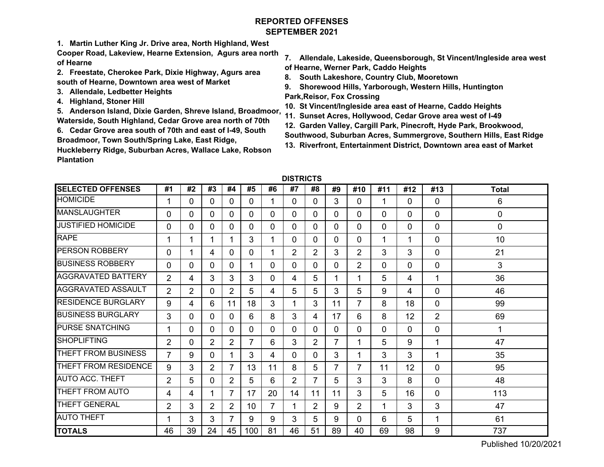# **REPORTED OFFENSESSEPTEMBER 2021**

**1. Martin Luther King Jr. Drive area, North Highland, West** 

**Cooper Road, Lakeview, Hearne Extension, Agurs area north of Hearne**

- **2. Freestate, Cherokee Park, Dixie Highway, Agurs area south of Hearne, Downtown area west of Market**
- **3. Allendale, Ledbetter Heights**
- **4. Highland, Stoner Hill**

**5. Anderson Island, Dixie Garden, Shreve Island, Broadmoor, Waterside, South Highland, Cedar Grove area north of 70th**

**6. Cedar Grove area south of 70th and east of I-49, South Broadmoor, Town South/Spring Lake, East Ridge,** 

**Huckleberry Ridge, Suburban Acres, Wallace Lake, Robson Plantation** 

- **7. Allendale, Lakeside, Queensborough, St Vincent/Ingleside area west of Hearne, Werner Park, Caddo Heights**
- **8. South Lakeshore, Country Club, Mooretown**
- **9. Shorewood Hills, Yarborough, Western Hills, Huntington Park,Reisor, Fox Crossing**
- **10. St Vincent/Ingleside area east of Hearne, Caddo Heights**
- **11. Sunset Acres, Hollywood, Cedar Grove area west of I-49**
- **12. Garden Valley, Cargill Park, Pinecroft, Hyde Park, Brookwood,**
- **Southwood, Suburban Acres, Summergrove, Southern Hills, East Ridge**
- **13. Riverfront, Entertainment District, Downtown area east of Market**

|  | DISTRICTS |  |
|--|-----------|--|
|--|-----------|--|

| <b>SELECTED OFFENSES</b>  | #1             | #2             | #3             | #4             | #5  | #6       | #7             | #8             | #9             | #10            | #11 | #12          | #13            | <b>Total</b> |
|---------------------------|----------------|----------------|----------------|----------------|-----|----------|----------------|----------------|----------------|----------------|-----|--------------|----------------|--------------|
| <b>HOMICIDE</b>           | 1              | 0              | 0              | 0              | 0   |          | 0              | 0              | 3              | 0              | 1   | 0            | 0              | 6            |
| <b>MANSLAUGHTER</b>       | 0              | $\mathbf{0}$   | 0              | $\Omega$       | 0   | $\Omega$ | 0              | $\Omega$       | 0              | 0              | 0   | $\Omega$     | 0              | 0            |
| <b>JUSTIFIED HOMICIDE</b> | 0              | $\mathbf{0}$   | $\Omega$       | $\Omega$       | 0   | $\Omega$ | 0              | $\Omega$       | $\Omega$       | 0              | 0   | $\Omega$     | 0              | 0            |
| <b>RAPE</b>               | 1              | 1              |                | 1              | 3   |          | 0              | $\Omega$       | 0              | 0              | 1   |              | 0              | 10           |
| <b>PERSON ROBBERY</b>     | 0              | 1              | 4              | $\Omega$       | 0   |          | $\overline{2}$ | $\overline{2}$ | 3              | $\overline{2}$ | 3   | 3            | 0              | 21           |
| <b>BUSINESS ROBBERY</b>   | 0              | $\mathbf{0}$   | $\Omega$       | $\Omega$       | 1   | $\Omega$ | 0              | $\Omega$       | 0              | $\overline{2}$ | 0   | $\mathbf{0}$ | 0              | 3            |
| <b>AGGRAVATED BATTERY</b> | $\overline{2}$ | 4              | 3              | 3              | 3   | $\Omega$ | 4              | 5              |                | 1              | 5   | 4            | 1              | 36           |
| <b>AGGRAVATED ASSAULT</b> | $\overline{2}$ | $\overline{2}$ | $\Omega$       | $\overline{2}$ | 5   | 4        | 5              | 5              | 3              | 5              | 9   | 4            | 0              | 46           |
| <b>RESIDENCE BURGLARY</b> | 9              | 4              | 6              | 11             | 18  | 3        | 1              | 3              | 11             | $\overline{7}$ | 8   | 18           | 0              | 99           |
| <b>BUSINESS BURGLARY</b>  | 3              | $\mathbf{0}$   | $\Omega$       | $\Omega$       | 6   | 8        | 3              | 4              | 17             | 6              | 8   | 12           | $\overline{2}$ | 69           |
| <b>PURSE SNATCHING</b>    | 1              | $\mathbf{0}$   | 0              | 0              | 0   | $\Omega$ | 0              | 0              | 0              | 0              | 0   | $\Omega$     | 0              | 1            |
| <b>SHOPLIFTING</b>        | $\overline{2}$ | $\Omega$       | $\overline{2}$ | $\overline{2}$ | 7   | 6        | 3              | 2              | $\overline{7}$ |                | 5   | 9            | 1              | 47           |
| THEFT FROM BUSINESS       | $\overline{7}$ | 9              | $\Omega$       | 1              | 3   | 4        | 0              | $\Omega$       | 3              | 1              | 3   | 3            | 1              | 35           |
| THEFT FROM RESIDENCE      | 9              | 3              | $\overline{2}$ | $\overline{7}$ | 13  | 11       | 8              | 5              | $\overline{7}$ | 7              | 11  | 12           | 0              | 95           |
| <b>AUTO ACC. THEFT</b>    | $\overline{2}$ | 5              | 0              | $\overline{2}$ | 5   | 6        | $\overline{2}$ | 7              | 5              | 3              | 3   | 8            | 0              | 48           |
| THEFT FROM AUTO           | 4              | 4              |                | $\overline{7}$ | 17  | 20       | 14             | 11             | 11             | 3              | 5   | 16           | 0              | 113          |
| <b>THEFT GENERAL</b>      | $\overline{2}$ | 3              | 2              | 2              | 10  | 7        | 1              | $\overline{2}$ | 9              | $\overline{2}$ | 1   | 3            | 3              | 47           |
| <b>AUTO THEFT</b>         | 1              | 3              | 3              | $\overline{7}$ | 9   | 9        | 3              | 5              | 9              | 0              | 6   | 5            | 1              | 61           |
| <b>TOTALS</b>             | 46             | 39             | 24             | 45             | 100 | 81       | 46             | 51             | 89             | 40             | 69  | 98           | 9              | 737          |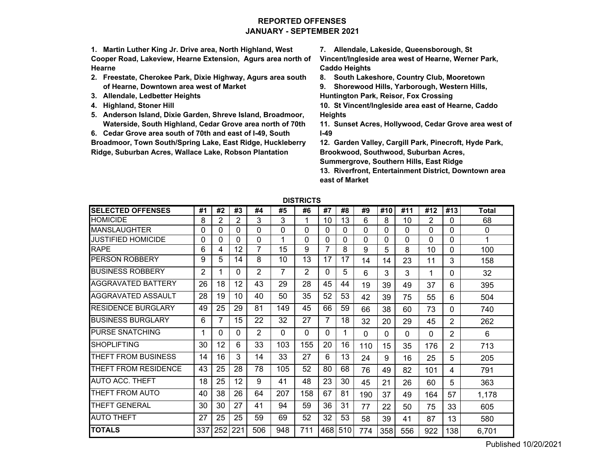# **REPORTED OFFENSESJANUARY - SEPTEMBER 2021**

**1. Martin Luther King Jr. Drive area, North Highland, West Cooper Road, Lakeview, Hearne Extension, Agurs area north of Hearne**

- **2. Freestate, Cherokee Park, Dixie Highway, Agurs area south of Hearne, Downtown area west of Market**
- **3. Allendale, Ledbetter Heights**
- **4. Highland, Stoner Hill**
- **5. Anderson Island, Dixie Garden, Shreve Island, Broadmoor, Waterside, South Highland, Cedar Grove area north of 70th**

**6. Cedar Grove area south of 70th and east of I-49, South** 

**Broadmoor, Town South/Spring Lake, East Ridge, Huckleberry Ridge, Suburban Acres, Wallace Lake, Robson Plantation** 

**7. Allendale, Lakeside, Queensborough, St** 

**Vincent/Ingleside area west of Hearne, Werner Park, Caddo Heights**

**8. South Lakeshore, Country Club, Mooretown**

**9. Shorewood Hills, Yarborough, Western Hills, Huntington Park, Reisor, Fox Crossing**

**10. St Vincent/Ingleside area east of Hearne, Caddo Heights**

**11. Sunset Acres, Hollywood, Cedar Grove area west of I-49**

**12. Garden Valley, Cargill Park, Pinecroft, Hyde Park, Brookwood, Southwood, Suburban Acres,** 

**Summergrove, Southern Hills, East Ridge**

**13. Riverfront, Entertainment District, Downtown area east of Market**

| <b>SELECTED OFFENSES</b>  | #1  | #2      | #3       | #4             | #5       | #6       | #7 | #8      | #9       | #10 | #11 | #12      | #13      | <b>Total</b> |
|---------------------------|-----|---------|----------|----------------|----------|----------|----|---------|----------|-----|-----|----------|----------|--------------|
| <b>HOMICIDE</b>           | 8   | 2       | 2        | 3              | 3        |          | 10 | 13      | 6        | 8   | 10  | 2        | $\Omega$ | 68           |
| <b>MANSLAUGHTER</b>       | 0   | U       | 0        | 0              | $\Omega$ | 0        | 0  | 0       | 0        | 0   | 0   | $\Omega$ | $\Omega$ | 0            |
| JUSTIFIED HOMICIDE        | 0   | 0       | 0        | 0              | 4        | 0        | 0  | 0       | 0        | 0   | 0   | 0        | 0        | 1            |
| <b>RAPE</b>               | 6   | 4       | 12       | 7              | 15       | 9        | 7  | 8       | 9        | 5   | 8   | 10       | 0        | 100          |
| PERSON ROBBERY            | 9   | 5       | 14       | 8              | 10       | 13       | 17 | 17      | 14       | 14  | 23  | 11       | 3        | 158          |
| <b>BUSINESS ROBBERY</b>   | 2   |         | 0        | 2              | 7        | 2        | 0  | 5       | 6        | 3   | 3   | 1        | 0        | 32           |
| AGGRAVATED BATTERY        | 26  | 18      | 12       | 43             | 29       | 28       | 45 | 44      | 19       | 39  | 49  | 37       | 6        | 395          |
| AGGRAVATED ASSAULT        | 28  | 19      | 10       | 40             | 50       | 35       | 52 | 53      | 42       | 39  | 75  | 55       | 6        | 504          |
| <b>RESIDENCE BURGLARY</b> | 49  | 25      | 29       | 81             | 149      | 45       | 66 | 59      | 66       | 38  | 60  | 73       | 0        | 740          |
| <b>BUSINESS BURGLARY</b>  | 6   |         | 15       | 22             | 32       | 27       | 7  | 18      | 32       | 20  | 29  | 45       | 2        | 262          |
| <b>PURSE SNATCHING</b>    |     | 0       | $\Omega$ | $\overline{2}$ | $\Omega$ | $\Omega$ | 0  |         | $\Omega$ | 0   | 0   | $\Omega$ | 2        | 6            |
| <b>SHOPLIFTING</b>        | 30  | 12      | 6        | 33             | 103      | 155      | 20 | 16      | 110      | 15  | 35  | 176      | 2        | 713          |
| THEFT FROM BUSINESS       | 14  | 16      | 3        | 14             | 33       | 27       | 6  | 13      | 24       | 9   | 16  | 25       | 5        | 205          |
| THEFT FROM RESIDENCE      | 43  | 25      | 28       | 78             | 105      | 52       | 80 | 68      | 76       | 49  | 82  | 101      | 4        | 791          |
| <b>AUTO ACC. THEFT</b>    | 18  | 25      | 12       | 9              | 41       | 48       | 23 | 30      | 45       | 21  | 26  | 60       | 5        | 363          |
| THEFT FROM AUTO           | 40  | 38      | 26       | 64             | 207      | 158      | 67 | 81      | 190      | 37  | 49  | 164      | 57       | 1,178        |
| <b>THEFT GENERAL</b>      | 30  | 30      | 27       | 41             | 94       | 59       | 36 | 31      | 77       | 22  | 50  | 75       | 33       | 605          |
| <b>AUTO THEFT</b>         | 27  | 25      | 25       | 59             | 69       | 52       | 32 | 53      | 58       | 39  | 41  | 87       | 13       | 580          |
| <b>TOTALS</b>             | 337 | 252 221 |          | 506            | 948      | 711      |    | 468 510 | 774      | 358 | 556 | 922      | 138      | 6,701        |

**DISTRICTS**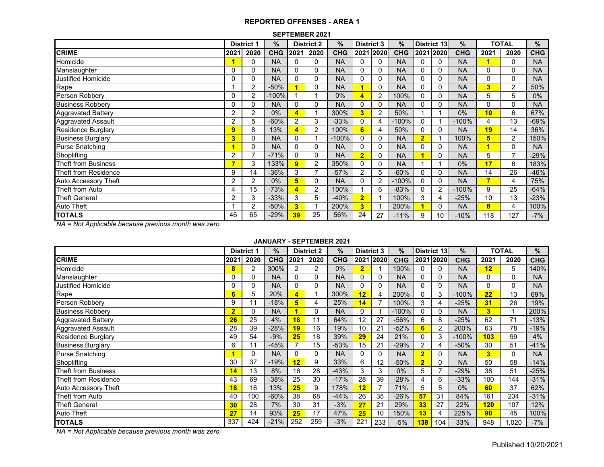#### **SEPTEMBER 2021**

|                           |                | <b>District 1</b> | %          |                | <b>District 2</b> | %          | <b>District 3</b> |      | $\%$       |                         | District 13    | $\%$       |          | <b>TOTAL</b>   | %          |
|---------------------------|----------------|-------------------|------------|----------------|-------------------|------------|-------------------|------|------------|-------------------------|----------------|------------|----------|----------------|------------|
| <b>CRIME</b>              | 2021           | 2020              | <b>CHG</b> | 2021           | 2020              | <b>CHG</b> | 2021              | 2020 | <b>CHG</b> |                         | 2021 2020      | <b>CHG</b> | 2021     | 2020           | <b>CHG</b> |
| Homicide                  |                | 0                 | <b>NA</b>  | 0              | $\Omega$          | <b>NA</b>  | 0                 | 0    | <b>NA</b>  | 0                       | 0              | <b>NA</b>  |          | 0              | <b>NA</b>  |
| Manslaughter              | 0              | 0                 | <b>NA</b>  | 0              | 0                 | <b>NA</b>  | 0                 | 0    | <b>NA</b>  | $\Omega$                | 0              | <b>NA</b>  | 0        | 0              | <b>NA</b>  |
| Justified Homicide        | 0              | 0                 | <b>NA</b>  | 0              | 0                 | <b>NA</b>  | 0                 | 0    | <b>NA</b>  | $\Omega$                | 0              | <b>NA</b>  | $\Omega$ | 0              | <b>NA</b>  |
| Rape                      |                | $\overline{2}$    | $-50%$     |                | 0                 | <b>NA</b>  |                   | 0    | <b>NA</b>  | $\Omega$                | 0              | <b>NA</b>  | 3        | 2              | 50%        |
| Person Robbery            | 0              | 2                 | $-100%$    |                |                   | 0%         | $\overline{4}$    | 2    | 100%       | 0                       | 0              | <b>NA</b>  | 5        | 5              | $0\%$      |
| <b>Business Robbery</b>   | 0              | 0                 | <b>NA</b>  | $\Omega$       | 0                 | <b>NA</b>  | 0                 | 0    | <b>NA</b>  | $\Omega$                | 0              | <b>NA</b>  | $\Omega$ | $\Omega$       | <b>NA</b>  |
| <b>Aggravated Battery</b> | 2              | 2                 | 0%         | $\overline{4}$ |                   | 300%       | 3                 | 2    | 50%        |                         |                | 0%         | 10       | 6              | 67%        |
| Aggravated Assault        | $\overline{2}$ | 5                 | $-60%$     | $\overline{2}$ | 3                 | $-33%$     | 0                 | 4    | $-100%$    | 0                       |                | $-100%$    | 4        | 13             | $-69%$     |
| <b>Residence Burglary</b> | 9              | 8                 | 13%        | 4              | $\overline{2}$    | 100%       | 6                 | 4    | 50%        | 0                       | 0              | <b>NA</b>  | 19       | 14             | 36%        |
| <b>Business Burglary</b>  | 3              | 0                 | <b>NA</b>  | 0              |                   | $-100%$    | 0                 | 0    | <b>NA</b>  | $\overline{\mathbf{2}}$ |                | 100%       | 5        | 2              | 150%       |
| <b>Purse Snatching</b>    |                | 0                 | <b>NA</b>  | 0              | 0                 | <b>NA</b>  | 0                 | 0    | <b>NA</b>  | 0                       | 0              | <b>NA</b>  |          | 0              | <b>NA</b>  |
| Shoplifting               | 2              | $\overline{ }$    | $-71%$     | 0              | 0                 | <b>NA</b>  | $\overline{2}$    | 0    | <b>NA</b>  |                         | 0              | <b>NA</b>  | 5        | $\overline{ }$ | $-29%$     |
| Theft from Business       | ∍              | 3                 | 133%       | 9              | $\overline{2}$    | 350%       | $\Omega$          | 0    | <b>NA</b>  |                         |                | 0%         | 17       | 6              | 183%       |
| Theft from Residence      | 9              | 14                | $-36%$     | 3              | ⇁                 | $-57%$     | 2                 | 5    | $-60%$     | 0                       | 0              | <b>NA</b>  | 14       | 26             | -46%       |
| Auto Accessory Theft      | 2              | $\overline{2}$    | $0\%$      | 5              | $\Omega$          | <b>NA</b>  | $\mathbf{0}$      | 2    | $-100%$    | $\Omega$                | 0              | <b>NA</b>  | ▼        | 4              | 75%        |
| Theft from Auto           | 4              | 15                | $-73%$     | 4              | 2                 | 100%       |                   | 6    | $-83%$     | 0                       | $\overline{2}$ | $-100%$    | 9        | 25             | $-64%$     |
| Theft General             | $\overline{2}$ | 3                 | $-33%$     | 3              | 5                 | $-40%$     | $\overline{2}$    |      | 100%       | 3                       | 4              | $-25%$     | 10       | 13             | $-23%$     |
| Auto Theft                |                | 2                 | $-50%$     | 3              |                   | 200%       | 3                 |      | 200%       |                         | 0              | <b>NA</b>  | 8        | 4              | 100%       |
| <b>TOTALS</b>             | 46             | 65                | $-29%$     | 39             | 25                | 56%        | 24                | 27   | $-11%$     | 9                       | 10             | $-10%$     | 118      | 127            | $-7%$      |

*NA = Not Applicable because previous month was zero*

### **JANUARY - SEPTEMBER 2021**

|                           |                | <b>District 1</b> | $\%$       |                | <b>District 2</b> | %          | <b>District 3</b> |           | $\%$       | District 13    |              | $\%$       |      | <b>TOTAL</b> | $\%$       |
|---------------------------|----------------|-------------------|------------|----------------|-------------------|------------|-------------------|-----------|------------|----------------|--------------|------------|------|--------------|------------|
| <b>CRIME</b>              | 2021           | 2020              | <b>CHG</b> | 2021           | 2020              | <b>CHG</b> |                   | 2021 2020 | <b>CHG</b> |                | 2021 2020    | <b>CHG</b> | 2021 | 2020         | <b>CHG</b> |
| Homicide                  | 8              | 2                 | 300%       | $\overline{2}$ | 2                 | 0%         | $\overline{2}$    |           | 100%       |                | 0            | <b>NA</b>  | 12   | 5            | 140%       |
| Manslaughter              | 0              | 0                 | <b>NA</b>  | $\Omega$       | 0                 | <b>NA</b>  | 0                 | 0         | <b>NA</b>  | 0              | 0            | <b>NA</b>  | 0    | 0            | <b>NA</b>  |
| <b>Justified Homicide</b> | 0              | 0                 | <b>NA</b>  | $\Omega$       | 0                 | <b>NA</b>  | 0                 | 0         | <b>NA</b>  | 0              | 0            | <b>NA</b>  | 0    | 0            | <b>NA</b>  |
| Rape                      | 6              | 5                 | 20%        |                |                   | 300%       | 12                |           | 200%       | $\mathbf 0$    | 3            | $-100%$    | 22   | 13           | 69%        |
| Person Robbery            | 9              | 11                | $-18%$     | 5              | 4                 | 25%        | 14                |           | 100%       | 3              | 4            | $-25%$     | 31   | 26           | 19%        |
| <b>Business Robbery</b>   | $\overline{2}$ | 0                 | <b>NA</b>  |                | 0                 | <b>NA</b>  | 0                 |           | $-100%$    | $\Omega$       | $\mathbf{0}$ | <b>NA</b>  | 3    | 1            | 200%       |
| <b>Aggravated Battery</b> | 26             | 25                | 4%         | 18             | 11                | 64%        | 12                | 27        | $-56%$     | 6              | 8            | $-25%$     | 62   | 71           | $-13%$     |
| <b>Aggravated Assault</b> | 28             | 39                | $-28%$     | 19             | 16                | 19%        | 10                | 21        | $-52%$     | 6              | 2            | 200%       | 63   | 78           | $-19%$     |
| <b>Residence Burglary</b> | 49             | 54                | $-9%$      | 25             | 18                | 39%        | 29                | 24        | 21%        | O              | 3            | $-100%$    | 103  | 99           | 4%         |
| <b>Business Burglary</b>  | 6              | 11                | $-45%$     |                | 15                | $-53%$     | 15                | 21        | $-29%$     | 2              | 4            | $-50%$     | 30   | 51           | $-41%$     |
| <b>Purse Snatching</b>    |                | 0                 | <b>NA</b>  | $\Omega$       | 0                 | <b>NA</b>  | 0                 | 0         | <b>NA</b>  | $\overline{2}$ | 0            | <b>NA</b>  | 3    | 0            | <b>NA</b>  |
| Shoplifting               | 30             | 37                | $-19%$     | 12             | 9                 | 33%        | 6                 | 12        | $-50%$     | $\overline{2}$ | 0            | <b>NA</b>  | 50   | 58           | $-14%$     |
| Theft from Business       | 14             | 13                | 8%         | 16             | 28                | $-43%$     | 3                 | 3         | $0\%$      | 5              | 7            | $-29%$     | 38   | 51           | $-25%$     |
| Theft from Residence      | 43             | 69                | $-38%$     | 25             | 30                | $-17%$     | 28                | 39        | $-28%$     | 4              | 6            | $-33%$     | 100  | 144          | $-31%$     |
| Auto Accessory Theft      | 18             | 16                | 13%        | 25             | 9                 | 178%       | 12                |           | 71%        | 5              | 5            | 0%         | 60   | 37           | 62%        |
| Theft from Auto           | 40             | 100               | $-60%$     | 38             | 68                | $-44%$     | 26                | 35        | $-26%$     | 57             | 31           | 84%        | 161  | 234          | $-31%$     |
| <b>Theft General</b>      | 30             | 28                | 7%         | 30             | 31                | $-3%$      | 27                | 21        | 29%        | 33             | 27           | 22%        | 120  | 107          | 12%        |
| <b>Auto Theft</b>         | 27             | 14                | 93%        | 25             | 17                | 47%        | 25                | 10        | 150%       | 13             | 4            | 225%       | 90   | 45           | 100%       |
| <b>TOTALS</b>             | 337            | 424               | $-21%$     | 252            | 259               | $-3%$      | 221               | 233       | $-5%$      | 138            | 104          | 33%        | 948  | ,020         | $-7%$      |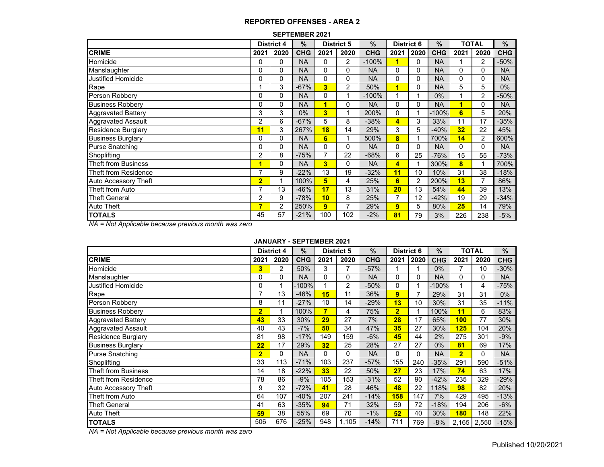#### **SEPTEMBER 2021**

|                             |                | <b>District 4</b> | $\frac{9}{6}$ |      | <b>District 5</b> | $\%$       | <b>District 6</b> |                | %          |      | <b>TOTAL</b>   | $\%$       |
|-----------------------------|----------------|-------------------|---------------|------|-------------------|------------|-------------------|----------------|------------|------|----------------|------------|
| <b>CRIME</b>                | 2021           | 2020              | <b>CHG</b>    | 2021 | 2020              | <b>CHG</b> | 2021              | 2020           | <b>CHG</b> | 2021 | 2020           | <b>CHG</b> |
| Homicide                    | 0              | 0                 | <b>NA</b>     | 0    | 2                 | $-100%$    | 1                 | 0              | <b>NA</b>  |      | 2              | $-50%$     |
| Manslaughter                | 0              | 0                 | <b>NA</b>     | 0    | 0                 | <b>NA</b>  | 0                 | $\mathbf{0}$   | <b>NA</b>  | 0    | 0              | <b>NA</b>  |
| <b>Justified Homicide</b>   | 0              | 0                 | <b>NA</b>     | 0    | 0                 | <b>NA</b>  | 0                 | 0              | <b>NA</b>  | 0    | 0              | <b>NA</b>  |
| Rape                        |                | 3                 | $-67%$        | 3    | 2                 | 50%        | 1                 | $\mathbf{0}$   | <b>NA</b>  | 5    | 5              | 0%         |
| Person Robbery              | 0              | $\Omega$          | <b>NA</b>     | 0    |                   | $-100%$    |                   | 1              | $0\%$      |      | 2              | $-50%$     |
| <b>Business Robbery</b>     | 0              | $\Omega$          | <b>NA</b>     | 1    | $\mathbf{0}$      | <b>NA</b>  | 0                 | $\mathbf{0}$   | <b>NA</b>  | 1    | 0              | <b>NA</b>  |
| <b>Aggravated Battery</b>   | 3              | 3                 | $0\%$         | 3    |                   | 200%       | 0                 |                | $-100%$    | 6    | 5              | 20%        |
| <b>Aggravated Assault</b>   | 2              | 6                 | $-67%$        | 5    | 8                 | $-38%$     | 4                 | 3              | 33%        | 11   | 17             | $-35%$     |
| <b>Residence Burglary</b>   | 11             | 3                 | 267%          | 18   | 14                | 29%        | 3                 | 5              | $-40%$     | 32   | 22             | 45%        |
| <b>Business Burglary</b>    | 0              | $\mathbf 0$       | <b>NA</b>     | 6    |                   | 500%       | 8                 |                | 700%       | 14   | $\overline{2}$ | 600%       |
| <b>Purse Snatching</b>      | 0              | 0                 | <b>NA</b>     | 0    | $\Omega$          | <b>NA</b>  | 0                 | $\Omega$       | <b>NA</b>  | 0    | 0              | <b>NA</b>  |
| Shoplifting                 | 2              | 8                 | $-75%$        | 7    | 22                | $-68%$     | 6                 | 25             | $-76%$     | 15   | 55             | $-73%$     |
| <b>Theft from Business</b>  | 1              | $\Omega$          | <b>NA</b>     | 3    | $\Omega$          | <b>NA</b>  | 4                 |                | 300%       | 8    |                | 700%       |
| Theft from Residence        | 7              | 9                 | $-22%$        | 13   | 19                | $-32%$     | 11                | 10             | 10%        | 31   | 38             | $-18%$     |
| <b>Auto Accessory Theft</b> | $\overline{2}$ |                   | 100%          | 5    | 4                 | 25%        | 6                 | $\overline{2}$ | 200%       | 13   | 7              | 86%        |
| Theft from Auto             | 7              | 13                | $-46%$        | 17   | 13                | 31%        | 20                | 13             | 54%        | 44   | 39             | 13%        |
| <b>Theft General</b>        | 2              | 9                 | $-78%$        | 10   | 8                 | 25%        | 7                 | 12             | $-42%$     | 19   | 29             | $-34%$     |
| Auto Theft                  | 7              | 2                 | 250%          | 9    | 7                 | 29%        | 9                 | 5              | 80%        | 25   | 14             | 79%        |
| <b>TOTALS</b>               | 45             | 57                | $-21%$        | 100  | 102               | $-2%$      | 81                | 79             | 3%         | 226  | 238            | $-5%$      |

*NA = Not Applicable because previous month was zero*

#### **JANUARY - SEPTEMBER 2021**

|                            |                | <b>District 4</b> | $\frac{9}{6}$ |                | <b>District 5</b> | $\frac{0}{0}$ | <b>District 6</b> |          | $\%$       |                | <b>TOTAL</b> | %          |
|----------------------------|----------------|-------------------|---------------|----------------|-------------------|---------------|-------------------|----------|------------|----------------|--------------|------------|
| <b>CRIME</b>               | 2021           | 2020              | <b>CHG</b>    | 2021           | 2020              | <b>CHG</b>    | 2021              | 2020     | <b>CHG</b> | 2021           | 2020         | <b>CHG</b> |
| Homicide                   | 3              | $\overline{2}$    | 50%           | 3              |                   | $-57%$        |                   |          | $0\%$      | 7              | 10           | $-30%$     |
| Manslaughter               | 0              | 0                 | <b>NA</b>     | 0              | 0                 | <b>NA</b>     | 0                 | 0        | <b>NA</b>  | 0              | 0            | <b>NA</b>  |
| Justified Homicide         | 0              |                   | $-100%$       |                | 2                 | $-50%$        | 0                 |          | $-100%$    |                | 4            | $-75%$     |
| Rape                       | 7              | 13                | $-46%$        | 15             | 11                | 36%           | 9                 | 7        | 29%        | 31             | 31           | $0\%$      |
| Person Robbery             | 8              | 11                | $-27%$        | 10             | 14                | $-29%$        | 13                | 10       | 30%        | 31             | 35           | $-11%$     |
| <b>Business Robbery</b>    | $\overline{2}$ |                   | 100%          | $\overline{7}$ | 4                 | 75%           | $\overline{2}$    |          | 100%       | 11             | 6            | 83%        |
| <b>Aggravated Battery</b>  | 43             | 33                | 30%           | 29             | 27                | 7%            | 28                | 17       | 65%        | 100            | 77           | 30%        |
| <b>Aggravated Assault</b>  | 40             | 43                | $-7%$         | 50             | 34                | 47%           | 35                | 27       | 30%        | 125            | 104          | 20%        |
| <b>Residence Burglary</b>  | 81             | 98                | $-17%$        | 149            | 159               | $-6%$         | 45                | 44       | 2%         | 275            | 301          | $-9%$      |
| <b>Business Burglary</b>   | 22             | 17                | 29%           | 32             | 25                | 28%           | 27                | 27       | $0\%$      | 81             | 69           | 17%        |
| <b>Purse Snatching</b>     | $\overline{2}$ | $\Omega$          | <b>NA</b>     | $\Omega$       | $\Omega$          | <b>NA</b>     | 0                 | $\Omega$ | <b>NA</b>  | $\overline{2}$ | 0            | <b>NA</b>  |
| Shoplifting                | 33             | 113               | $-71%$        | 103            | 237               | $-57%$        | 155               | 240      | $-35%$     | 291            | 590          | $-51%$     |
| <b>Theft from Business</b> | 14             | 18                | $-22%$        | 33             | 22                | 50%           | 27                | 23       | 17%        | 74             | 63           | 17%        |
| Theft from Residence       | 78             | 86                | $-9%$         | 105            | 153               | $-31%$        | 52                | 90       | $-42%$     | 235            | 329          | $-29%$     |
| Auto Accessory Theft       | 9              | 32                | $-72%$        | 41             | 28                | 46%           | 48                | 22       | 118%       | 98             | 82           | 20%        |
| Theft from Auto            | 64             | 107               | $-40%$        | 207            | 241               | $-14%$        | <b>158</b>        | 147      | 7%         | 429            | 495          | $-13%$     |
| <b>Theft General</b>       | 41             | 63                | $-35%$        | 94             | 71                | 32%           | 59                | 72       | $-18%$     | 194            | 206          | $-6%$      |
| <b>Auto Theft</b>          | 59             | 38                | 55%           | 69             | 70                | $-1%$         | 52                | 40       | 30%        | <b>180</b>     | 148          | 22%        |
| <b>TOTALS</b>              | 506            | 676               | $-25%$        | 948            | 1,105             | $-14%$        | 711               | 769      | $-8%$      |                | 2,165 2,550  | $-15%$     |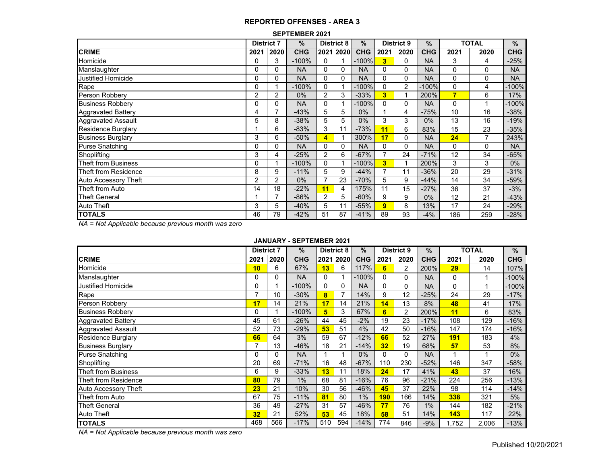| <b>SEPTEMBER 2021</b> |  |
|-----------------------|--|
|-----------------------|--|

|                             | <b>District 7</b> |                | $\%$       |                | <b>District 8</b> | $\%$       | <b>District 9</b>        |      | $\frac{0}{0}$ | <b>TOTAL</b> |                | %          |
|-----------------------------|-------------------|----------------|------------|----------------|-------------------|------------|--------------------------|------|---------------|--------------|----------------|------------|
| <b>CRIME</b>                | 2021              | 2020           | <b>CHG</b> |                | 2021 2020         | <b>CHG</b> | 2021                     | 2020 | <b>CHG</b>    | 2021         | 2020           | <b>CHG</b> |
| Homicide                    | 0                 | 3              | $-100%$    | $\Omega$       |                   | $-100%$    | $\overline{\mathbf{3}}$  | 0    | <b>NA</b>     | 3            | 4              | $-25%$     |
| Manslaughter                | 0                 | 0              | <b>NA</b>  | $\Omega$       | 0                 | <b>NA</b>  | 0                        | 0    | <b>NA</b>     | 0            | 0              | <b>NA</b>  |
| <b>Justified Homicide</b>   | 0                 | 0              | <b>NA</b>  | $\Omega$       | 0                 | <b>NA</b>  | $\Omega$                 | 0    | <b>NA</b>     | 0            | 0              | <b>NA</b>  |
| Rape                        | 0                 |                | $-100%$    | $\Omega$       |                   | $-100%$    | 0                        | 2    | $-100%$       | 0            | 4              | -100%      |
| Person Robbery              | 2                 | 2              | $0\%$      | 2              | 3                 | $-33%$     | 3                        |      | 200%          | 7            | 6              | 17%        |
| <b>Business Robbery</b>     | 0                 | 0              | <b>NA</b>  | $\Omega$       |                   | $-100%$    | 0                        | 0    | <b>NA</b>     | 0            |                | $-100%$    |
| <b>Aggravated Battery</b>   | 4                 | $\overline{ }$ | $-43%$     | 5              | 5                 | 0%         |                          | 4    | $-75%$        | 10           | 16             | $-38%$     |
| <b>Aggravated Assault</b>   | 5                 | 8              | $-38%$     | 5              | 5                 | $0\%$      | 3                        | 3    | $0\%$         | 13           | 16             | $-19%$     |
| Residence Burglary          |                   | 6              | $-83%$     | 3              | 11                | $-73%$     | 11                       | 6    | 83%           | 15           | 23             | $-35%$     |
| <b>Business Burglary</b>    | 3                 | 6              | $-50%$     | 4              |                   | 300%       | 17                       | 0    | <b>NA</b>     | 24           | $\overline{ }$ | 243%       |
| <b>Purse Snatching</b>      | 0                 | 0              | <b>NA</b>  | $\Omega$       | 0                 | <b>NA</b>  | 0                        | 0    | <b>NA</b>     | 0            | 0              | <b>NA</b>  |
| Shoplifting                 | 3                 | 4              | $-25%$     | $\overline{2}$ | 6                 | $-67%$     | $\overline{\phantom{a}}$ | 24   | $-71%$        | 12           | 34             | $-65%$     |
| <b>Theft from Business</b>  | 0                 |                | $-100%$    | 0              |                   | $-100%$    | 3                        | 1    | 200%          | 3            | 3              | $0\%$      |
| Theft from Residence        | 8                 | 9              | $-11%$     | 5              | 9                 | $-44%$     |                          | 11   | $-36%$        | 20           | 29             | $-31%$     |
| <b>Auto Accessory Theft</b> | 2                 | 2              | $0\%$      | $\overline{7}$ | 23                | $-70%$     | 5                        | 9    | $-44%$        | 14           | 34             | $-59%$     |
| Theft from Auto             | 14                | 18             | $-22%$     | 11             | 4                 | 175%       | 11                       | 15   | $-27%$        | 36           | 37             | $-3%$      |
| <b>Theft General</b>        |                   | $\overline{ }$ | $-86%$     | $\overline{2}$ | 5                 | $-60%$     | 9                        | 9    | $0\%$         | 12           | 21             | $-43%$     |
| Auto Theft                  | 3                 | 5              | $-40%$     | 5              | 11                | $-55%$     | 9                        | 8    | 13%           | 17           | 24             | $-29%$     |
| <b>TOTALS</b>               | 46                | 79             | $-42%$     | 51             | 87                | $-41%$     | 89                       | 93   | $-4%$         | 186          | 259            | $-28%$     |

*NA = Not Applicable because previous month was zero*

# **JANUARY - SEPTEMBER 2021**

|                             | <b>District 7</b> |          | $\%$       | <b>District 8</b> |      | $\frac{0}{0}$ | <b>District 9</b> |                | %          | <b>TOTAL</b> |       | %          |
|-----------------------------|-------------------|----------|------------|-------------------|------|---------------|-------------------|----------------|------------|--------------|-------|------------|
| <b>CRIME</b>                | 2021              | 2020     | <b>CHG</b> | 2021              | 2020 | <b>CHG</b>    | 2021              | 2020           | <b>CHG</b> | 2021         | 2020  | <b>CHG</b> |
| Homicide                    | 10                | 6        | 67%        | 13                | 6    | 117%          | 6                 | $\overline{2}$ | 200%       | 29           | 14    | 107%       |
| Manslaughter                | 0                 | $\Omega$ | <b>NA</b>  | 0                 |      | $-100%$       | 0                 | 0              | <b>NA</b>  | $\Omega$     |       | $-100%$    |
| <b>Justified Homicide</b>   | 0                 |          | $-100%$    | 0                 | 0    | <b>NA</b>     | 0                 | $\Omega$       | <b>NA</b>  | $\Omega$     |       | $-100%$    |
| Rape                        | $\overline{ }$    | 10       | $-30%$     | 8                 | 7    | 14%           | 9                 | 12             | $-25%$     | 24           | 29    | $-17%$     |
| Person Robbery              | 17                | 14       | 21%        | 17                | 14   | 21%           | 14                | 13             | 8%         | 48           | 41    | 17%        |
| <b>Business Robbery</b>     | 0                 |          | $-100%$    | 5                 | 3    | 67%           | 6                 | 2              | 200%       | 11           | 6     | 83%        |
| <b>Aggravated Battery</b>   | 45                | 61       | $-26%$     | 44                | 45   | $-2%$         | 19                | 23             | $-17%$     | 108          | 129   | $-16%$     |
| Aggravated Assault          | 52                | 73       | $-29%$     | 53                | 51   | 4%            | 42                | 50             | $-16%$     | 147          | 174   | $-16%$     |
| <b>Residence Burglary</b>   | 66                | 64       | 3%         | 59                | 67   | $-12%$        | 66                | 52             | 27%        | 191          | 183   | 4%         |
| <b>Business Burglary</b>    |                   | 13       | $-46%$     | 18                | 21   | $-14%$        | 32                | 19             | 68%        | 57           | 53    | 8%         |
| <b>Purse Snatching</b>      | 0                 | $\Omega$ | <b>NA</b>  |                   |      | $0\%$         | 0                 | 0              | <b>NA</b>  |              |       | $0\%$      |
| Shoplifting                 | 20                | 69       | $-71%$     | 16                | 48   | $-67%$        | 110               | 230            | $-52%$     | 146          | 347   | $-58%$     |
| <b>Theft from Business</b>  | 6                 | 9        | $-33%$     | 13                | 11   | 18%           | 24                | 17             | 41%        | 43           | 37    | 16%        |
| Theft from Residence        | 80                | 79       | $1\%$      | 68                | 81   | $-16%$        | 76                | 96             | $-21%$     | 224          | 256   | $-13%$     |
| <b>Auto Accessory Theft</b> | 23                | 21       | 10%        | 30                | 56   | $-46%$        | 45                | 37             | 22%        | 98           | 114   | $-14%$     |
| Theft from Auto             | 67                | 75       | $-11%$     | 81                | 80   | $1\%$         | 190               | 166            | 14%        | 338          | 321   | 5%         |
| <b>Theft General</b>        | 36                | 49       | $-27%$     | 31                | 57   | $-46%$        | 77                | 76             | 1%         | 144          | 182   | $-21%$     |
| Auto Theft                  | 32                | 21       | 52%        | 53                | 45   | 18%           | 58                | 51             | 14%        | 143          | 117   | 22%        |
| <b>TOTALS</b>               | 468               | 566      | $-17%$     | 510               | 594  | $-14%$        | 774               | 846            | $-9%$      | 1,752        | 2,006 | $-13%$     |